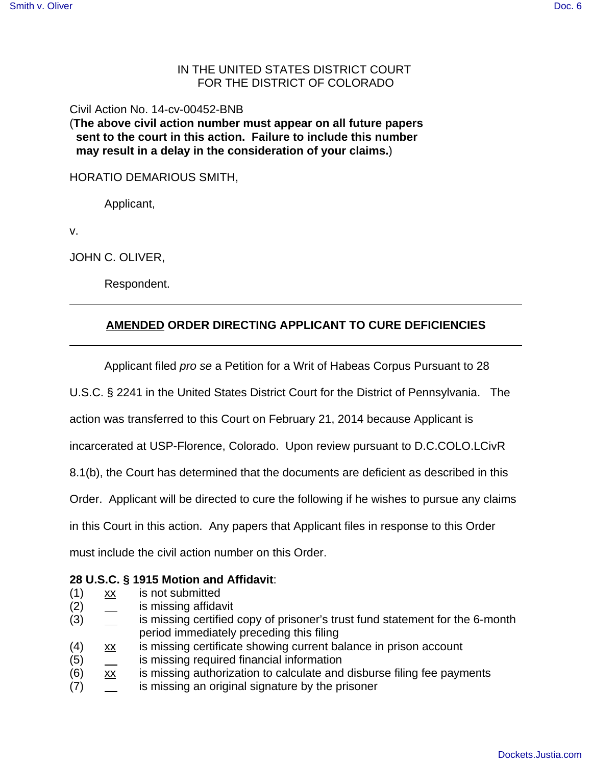## IN THE UNITED STATES DISTRICT COURT FOR THE DISTRICT OF COLORADO

Civil Action No. 14-cv-00452-BNB

(**The above civil action number must appear on all future papers sent to the court in this action. Failure to include this number may result in a delay in the consideration of your claims.**)

HORATIO DEMARIOUS SMITH,

Applicant,

v.

JOHN C. OLIVER,

Respondent.

## **AMENDED ORDER DIRECTING APPLICANT TO CURE DEFICIENCIES**

Applicant filed pro se a Petition for a Writ of Habeas Corpus Pursuant to 28

U.S.C. § 2241 in the United States District Court for the District of Pennsylvania. The

action was transferred to this Court on February 21, 2014 because Applicant is

incarcerated at USP-Florence, Colorado. Upon review pursuant to D.C.COLO.LCivR

8.1(b), the Court has determined that the documents are deficient as described in this

Order. Applicant will be directed to cure the following if he wishes to pursue any claims

in this Court in this action. Any papers that Applicant files in response to this Order

must include the civil action number on this Order.

## **28 U.S.C. § 1915 Motion and Affidavit**:

- (1) xx is not submitted
- (2) is missing affidavit
- (3) is missing certified copy of prisoner's trust fund statement for the 6-month period immediately preceding this filing
- (4) xx is missing certificate showing current balance in prison account
- (5) is missing required financial information
- $(6)$  xx is missing authorization to calculate and disburse filing fee payments
- (7) is missing an original signature by the prisoner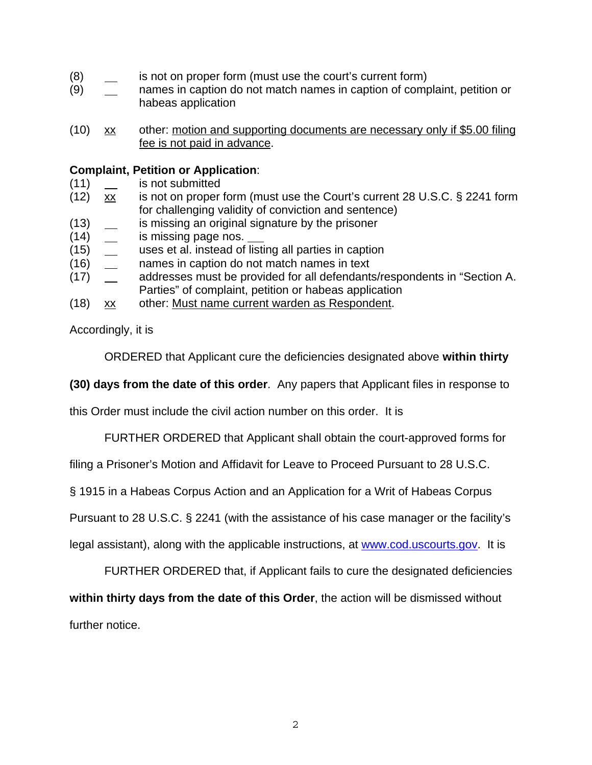- (8) is not on proper form (must use the court's current form)
- (9) names in caption do not match names in caption of complaint, petition or habeas application
- (10) xx other: motion and supporting documents are necessary only if \$5.00 filing fee is not paid in advance.

## **Complaint, Petition or Application**:

- (11) is not submitted
- (12)  $\overline{xx}$  is not on proper form (must use the Court's current 28 U.S.C. § 2241 form for challenging validity of conviction and sentence)
- (13) is missing an original signature by the prisoner
- (14) is missing page nos.
- (15) uses et al. instead of listing all parties in caption
- (16) names in caption do not match names in text
- (17) addresses must be provided for all defendants/respondents in "Section A. Parties" of complaint, petition or habeas application
- (18) xx other: Must name current warden as Respondent.

Accordingly, it is

ORDERED that Applicant cure the deficiencies designated above **within thirty**

**(30) days from the date of this order**. Any papers that Applicant files in response to

this Order must include the civil action number on this order. It is

FURTHER ORDERED that Applicant shall obtain the court-approved forms for

filing a Prisoner's Motion and Affidavit for Leave to Proceed Pursuant to 28 U.S.C.

§ 1915 in a Habeas Corpus Action and an Application for a Writ of Habeas Corpus

Pursuant to 28 U.S.C. § 2241 (with the assistance of his case manager or the facility's

legal assistant), along with the applicable instructions, at www.cod.uscourts.gov. It is

FURTHER ORDERED that, if Applicant fails to cure the designated deficiencies

**within thirty days from the date of this Order**, the action will be dismissed without

further notice.